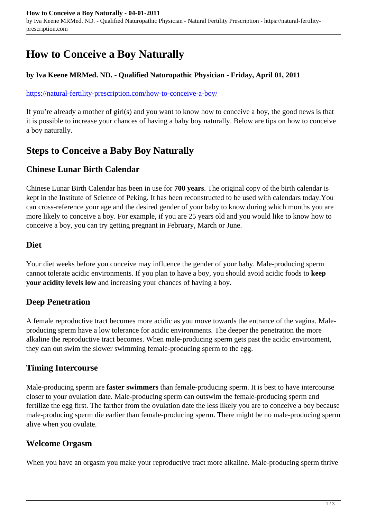# **How to Conceive a Boy Naturally**

#### **by Iva Keene MRMed. ND. - Qualified Naturopathic Physician - Friday, April 01, 2011**

#### <https://natural-fertility-prescription.com/how-to-conceive-a-boy/>

If you're already a mother of girl(s) and you want to know how to conceive a boy, the good news is that it is possible to increase your chances of having a baby boy naturally. Below are tips on how to conceive a boy naturally.

## **Steps to Conceive a Baby Boy Naturally**

### **Chinese Lunar Birth Calendar**

Chinese Lunar Birth Calendar has been in use for **700 years**. The original copy of the birth calendar is kept in the Institute of Science of Peking. It has been reconstructed to be used with calendars today.You can cross-reference your age and the desired gender of your baby to know during which months you are more likely to conceive a boy. For example, if you are 25 years old and you would like to know how to conceive a boy, you can try getting pregnant in February, March or June.

### **Diet**

Your diet weeks before you conceive may influence the gender of your baby. Male-producing sperm cannot tolerate acidic environments. If you plan to have a boy, you should avoid acidic foods to **keep your acidity levels low** and increasing your chances of having a boy.

### **Deep Penetration**

A female reproductive tract becomes more acidic as you move towards the entrance of the vagina. Maleproducing sperm have a low tolerance for acidic environments. The deeper the penetration the more alkaline the reproductive tract becomes. When male-producing sperm gets past the acidic environment, they can out swim the slower swimming female-producing sperm to the egg.

### **Timing Intercourse**

Male-producing sperm are **faster swimmers** than female-producing sperm. It is best to have intercourse closer to your ovulation date. Male-producing sperm can outswim the female-producing sperm and fertilize the egg first. The farther from the ovulation date the less likely you are to conceive a boy because male-producing sperm die earlier than female-producing sperm. There might be no male-producing sperm alive when you ovulate.

### **Welcome Orgasm**

When you have an orgasm you make your reproductive tract more alkaline. Male-producing sperm thrive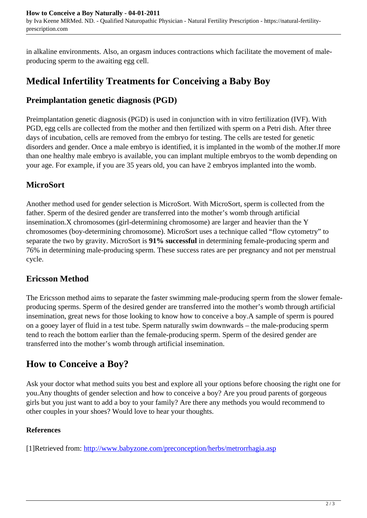in alkaline environments. Also, an orgasm induces contractions which facilitate the movement of maleproducing sperm to the awaiting egg cell.

## **Medical Infertility Treatments for Conceiving a Baby Boy**

### **Preimplantation genetic diagnosis (PGD)**

Preimplantation genetic diagnosis (PGD) is used in conjunction with in vitro fertilization (IVF). With PGD, egg cells are collected from the mother and then fertilized with sperm on a Petri dish. After three days of incubation, cells are removed from the embryo for testing. The cells are tested for genetic disorders and gender. Once a male embryo is identified, it is implanted in the womb of the mother.If more than one healthy male embryo is available, you can implant multiple embryos to the womb depending on your age. For example, if you are 35 years old, you can have 2 embryos implanted into the womb.

## **MicroSort**

Another method used for gender selection is MicroSort. With MicroSort, sperm is collected from the father. Sperm of the desired gender are transferred into the mother's womb through artificial insemination.X chromosomes (girl-determining chromosome) are larger and heavier than the Y chromosomes (boy-determining chromosome). MicroSort uses a technique called "flow cytometry" to separate the two by gravity. MicroSort is **91% successful** in determining female-producing sperm and 76% in determining male-producing sperm. These success rates are per pregnancy and not per menstrual cycle.

### **Ericsson Method**

The Ericsson method aims to separate the faster swimming male-producing sperm from the slower femaleproducing sperms. Sperm of the desired gender are transferred into the mother's womb through artificial insemination, great news for those looking to know how to conceive a boy.A sample of sperm is poured on a gooey layer of fluid in a test tube. Sperm naturally swim downwards – the male-producing sperm tend to reach the bottom earlier than the female-producing sperm. Sperm of the desired gender are transferred into the mother's womb through artificial insemination.

## **How to Conceive a Boy?**

Ask your doctor what method suits you best and explore all your options before choosing the right one for you.Any thoughts of gender selection and how to conceive a boy? Are you proud parents of gorgeous girls but you just want to add a boy to your family? Are there any methods you would recommend to other couples in your shoes? Would love to hear your thoughts.

### **References**

[1]Retrieved from: http://www.babyzone.com/preconception/herbs/metrorrhagia.asp